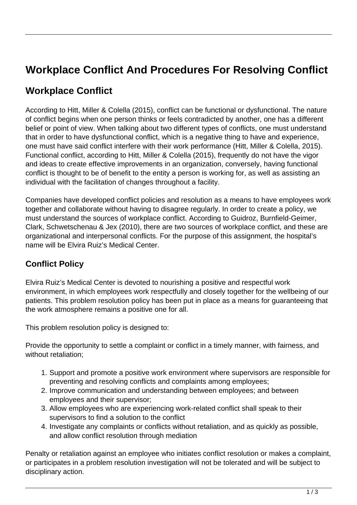# **Workplace Conflict And Procedures For Resolving Conflict**

## **Workplace Conflict**

According to Hitt, Miller & Colella (2015), conflict can be functional or dysfunctional. The nature of conflict begins when one person thinks or feels contradicted by another, one has a different belief or point of view. When talking about two different types of conflicts, one must understand that in order to have dysfunctional conflict, which is a negative thing to have and experience, one must have said conflict interfere with their work performance (Hitt, Miller & Colella, 2015). Functional conflict, according to Hitt, Miller & Colella (2015), frequently do not have the vigor and ideas to create effective improvements in an organization, conversely, having functional conflict is thought to be of benefit to the entity a person is working for, as well as assisting an individual with the facilitation of changes throughout a facility.

Companies have developed conflict policies and resolution as a means to have employees work together and collaborate without having to disagree regularly. In order to create a policy, we must understand the sources of workplace conflict. According to Guidroz, Burnfield-Geimer, Clark, Schwetschenau & Jex (2010), there are two sources of workplace conflict, and these are organizational and interpersonal conflicts. For the purpose of this assignment, the hospital's name will be Elvira Ruiz's Medical Center.

## **Conflict Policy**

Elvira Ruiz's Medical Center is devoted to nourishing a positive and respectful work environment, in which employees work respectfully and closely together for the wellbeing of our patients. This problem resolution policy has been put in place as a means for guaranteeing that the work atmosphere remains a positive one for all.

This problem resolution policy is designed to:

Provide the opportunity to settle a complaint or conflict in a timely manner, with fairness, and without retaliation;

- 1. Support and promote a positive work environment where supervisors are responsible for preventing and resolving conflicts and complaints among employees;
- 2. Improve communication and understanding between employees; and between employees and their supervisor;
- 3. Allow employees who are experiencing work-related conflict shall speak to their supervisors to find a solution to the conflict
- 4. Investigate any complaints or conflicts without retaliation, and as quickly as possible, and allow conflict resolution through mediation

Penalty or retaliation against an employee who initiates conflict resolution or makes a complaint, or participates in a problem resolution investigation will not be tolerated and will be subject to disciplinary action.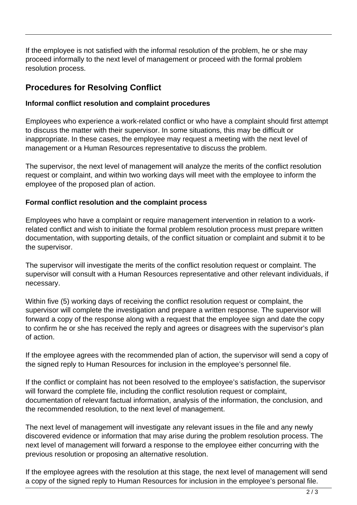If the employee is not satisfied with the informal resolution of the problem, he or she may proceed informally to the next level of management or proceed with the formal problem resolution process.

### **Procedures for Resolving Conflict**

#### **Informal conflict resolution and complaint procedures**

Employees who experience a work-related conflict or who have a complaint should first attempt to discuss the matter with their supervisor. In some situations, this may be difficult or inappropriate. In these cases, the employee may request a meeting with the next level of management or a Human Resources representative to discuss the problem.

The supervisor, the next level of management will analyze the merits of the conflict resolution request or complaint, and within two working days will meet with the employee to inform the employee of the proposed plan of action.

#### **Formal conflict resolution and the complaint process**

Employees who have a complaint or require management intervention in relation to a workrelated conflict and wish to initiate the formal problem resolution process must prepare written documentation, with supporting details, of the conflict situation or complaint and submit it to be the supervisor.

The supervisor will investigate the merits of the conflict resolution request or complaint. The supervisor will consult with a Human Resources representative and other relevant individuals, if necessary.

Within five (5) working days of receiving the conflict resolution request or complaint, the supervisor will complete the investigation and prepare a written response. The supervisor will forward a copy of the response along with a request that the employee sign and date the copy to confirm he or she has received the reply and agrees or disagrees with the supervisor's plan of action.

If the employee agrees with the recommended plan of action, the supervisor will send a copy of the signed reply to Human Resources for inclusion in the employee's personnel file.

If the conflict or complaint has not been resolved to the employee's satisfaction, the supervisor will forward the complete file, including the conflict resolution request or complaint, documentation of relevant factual information, analysis of the information, the conclusion, and the recommended resolution, to the next level of management.

The next level of management will investigate any relevant issues in the file and any newly discovered evidence or information that may arise during the problem resolution process. The next level of management will forward a response to the employee either concurring with the previous resolution or proposing an alternative resolution.

If the employee agrees with the resolution at this stage, the next level of management will send a copy of the signed reply to Human Resources for inclusion in the employee's personal file.